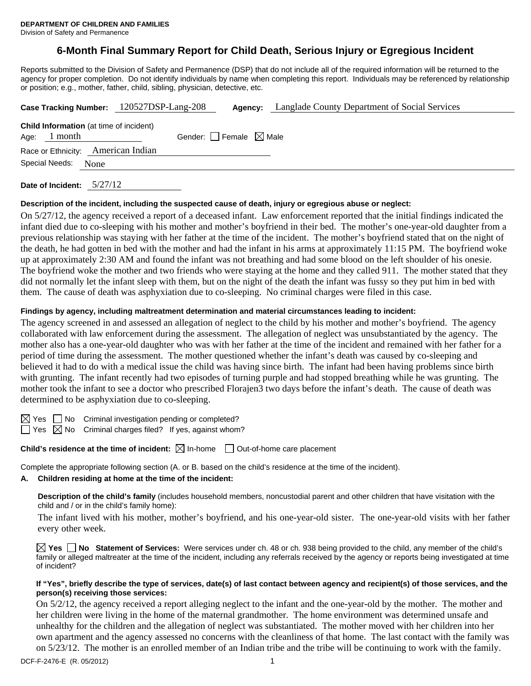# **6-Month Final Summary Report for Child Death, Serious Injury or Egregious Incident**

Reports submitted to the Division of Safety and Permanence (DSP) that do not include all of the required information will be returned to the agency for proper completion. Do not identify individuals by name when completing this report. Individuals may be referenced by relationship or position; e.g., mother, father, child, sibling, physician, detective, etc.

|                | Case Tracking Number: 120527DSP-Lang-208       | Agency:                         | Langlade County Department of Social Services |
|----------------|------------------------------------------------|---------------------------------|-----------------------------------------------|
| Age: $1$ month | <b>Child Information</b> (at time of incident) | Gender: Female $\boxtimes$ Male |                                               |
|                | Race or Ethnicity: American Indian             |                                 |                                               |
| Special Needs: | None                                           |                                 |                                               |
|                |                                                |                                 |                                               |

**Date of Incident:** 5/27/12

# **Description of the incident, including the suspected cause of death, injury or egregious abuse or neglect:**

On 5/27/12, the agency received a report of a deceased infant. Law enforcement reported that the initial findings indicated the infant died due to co-sleeping with his mother and mother's boyfriend in their bed. The mother's one-year-old daughter from a previous relationship was staying with her father at the time of the incident. The mother's boyfriend stated that on the night of the death, he had gotten in bed with the mother and had the infant in his arms at approximately 11:15 PM. The boyfriend woke up at approximately 2:30 AM and found the infant was not breathing and had some blood on the left shoulder of his onesie. The boyfriend woke the mother and two friends who were staying at the home and they called 911. The mother stated that they did not normally let the infant sleep with them, but on the night of the death the infant was fussy so they put him in bed with them. The cause of death was asphyxiation due to co-sleeping. No criminal charges were filed in this case.

#### **Findings by agency, including maltreatment determination and material circumstances leading to incident:**

The agency screened in and assessed an allegation of neglect to the child by his mother and mother's boyfriend. The agency collaborated with law enforcement during the assessment. The allegation of neglect was unsubstantiated by the agency. The mother also has a one-year-old daughter who was with her father at the time of the incident and remained with her father for a period of time during the assessment. The mother questioned whether the infant's death was caused by co-sleeping and believed it had to do with a medical issue the child was having since birth. The infant had been having problems since birth with grunting. The infant recently had two episodes of turning purple and had stopped breathing while he was grunting. The mother took the infant to see a doctor who prescribed Florajen3 two days before the infant's death. The cause of death was determined to be asphyxiation due to co-sleeping.

 $\boxtimes$  Yes  $\Box$  No Criminal investigation pending or completed?

 $\Box$  Yes  $\boxtimes$  No Criminal charges filed? If yes, against whom?

# **Child's residence at the time of incident:**  $\boxtimes$  In-home  $\Box$  Out-of-home care placement

Complete the appropriate following section (A. or B. based on the child's residence at the time of the incident).

# **A. Children residing at home at the time of the incident:**

**Description of the child's family** (includes household members, noncustodial parent and other children that have visitation with the child and / or in the child's family home):

 The infant lived with his mother, mother's boyfriend, and his one-year-old sister. The one-year-old visits with her father every other week.

**Yes No Statement of Services:** Were services under ch. 48 or ch. 938 being provided to the child, any member of the child's family or alleged maltreater at the time of the incident, including any referrals received by the agency or reports being investigated at time of incident?

#### **If "Yes", briefly describe the type of services, date(s) of last contact between agency and recipient(s) of those services, and the person(s) receiving those services:**

On 5/2/12, the agency received a report alleging neglect to the infant and the one-year-old by the mother. The mother and her children were living in the home of the maternal grandmother. The home environment was determined unsafe and unhealthy for the children and the allegation of neglect was substantiated. The mother moved with her children into her own apartment and the agency assessed no concerns with the cleanliness of that home. The last contact with the family was on 5/23/12. The mother is an enrolled member of an Indian tribe and the tribe will be continuing to work with the family.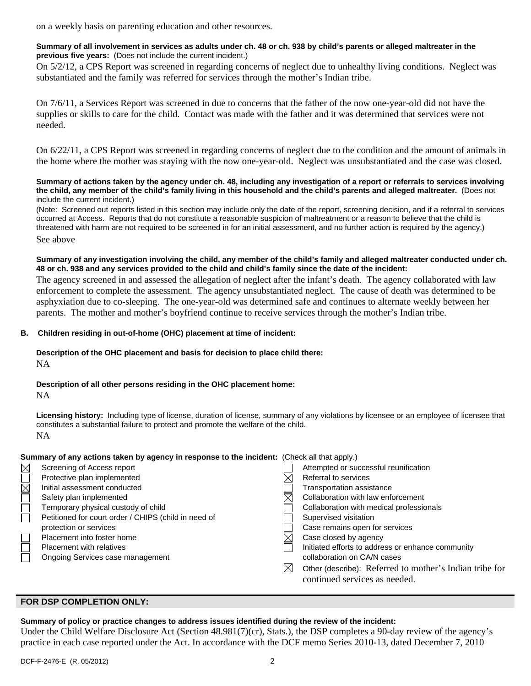on a weekly basis on parenting education and other resources.

#### **Summary of all involvement in services as adults under ch. 48 or ch. 938 by child's parents or alleged maltreater in the previous five years:** (Does not include the current incident.)

On 5/2/12, a CPS Report was screened in regarding concerns of neglect due to unhealthy living conditions. Neglect was substantiated and the family was referred for services through the mother's Indian tribe.

On 7/6/11, a Services Report was screened in due to concerns that the father of the now one-year-old did not have the supplies or skills to care for the child. Contact was made with the father and it was determined that services were not needed.

On 6/22/11, a CPS Report was screened in regarding concerns of neglect due to the condition and the amount of animals in the home where the mother was staying with the now one-year-old. Neglect was unsubstantiated and the case was closed.

**Summary of actions taken by the agency under ch. 48, including any investigation of a report or referrals to services involving the child, any member of the child's family living in this household and the child's parents and alleged maltreater.** (Does not include the current incident.)

(Note: Screened out reports listed in this section may include only the date of the report, screening decision, and if a referral to services occurred at Access. Reports that do not constitute a reasonable suspicion of maltreatment or a reason to believe that the child is threatened with harm are not required to be screened in for an initial assessment, and no further action is required by the agency.) See above

#### **Summary of any investigation involving the child, any member of the child's family and alleged maltreater conducted under ch. 48 or ch. 938 and any services provided to the child and child's family since the date of the incident:**

The agency screened in and assessed the allegation of neglect after the infant's death. The agency collaborated with law enforcement to complete the assessment. The agency unsubstantiated neglect. The cause of death was determined to be asphyxiation due to co-sleeping. The one-year-old was determined safe and continues to alternate weekly between her parents. The mother and mother's boyfriend continue to receive services through the mother's Indian tribe.

# **B. Children residing in out-of-home (OHC) placement at time of incident:**

# **Description of the OHC placement and basis for decision to place child there:**

NA

# **Description of all other persons residing in the OHC placement home:**

NA

**Licensing history:** Including type of license, duration of license, summary of any violations by licensee or an employee of licensee that constitutes a substantial failure to protect and promote the welfare of the child. NA

# **Summary of any actions taken by agency in response to the incident:** (Check all that apply.)

|              | Screening of Access report                           |             | Attempted or successful reunification                                                    |
|--------------|------------------------------------------------------|-------------|------------------------------------------------------------------------------------------|
| <b>NUMDE</b> | Protective plan implemented                          |             | Referral to services                                                                     |
|              | Initial assessment conducted                         |             | Transportation assistance                                                                |
|              | Safety plan implemented                              |             | Collaboration with law enforcement                                                       |
|              | Temporary physical custody of child                  |             | Collaboration with medical professionals                                                 |
|              | Petitioned for court order / CHIPS (child in need of |             | Supervised visitation                                                                    |
|              | protection or services                               |             | Case remains open for services                                                           |
|              | Placement into foster home                           |             | Case closed by agency                                                                    |
| $\Box$       | <b>Placement with relatives</b>                      |             | Initiated efforts to address or enhance community                                        |
|              | Ongoing Services case management                     |             | collaboration on CA/N cases                                                              |
|              |                                                      | $\boxtimes$ | Other (describe): Referred to mother's Indian tribe for<br>continued services as needed. |

# **FOR DSP COMPLETION ONLY:**

# **Summary of policy or practice changes to address issues identified during the review of the incident:**

Under the Child Welfare Disclosure Act (Section 48.981(7)(cr), Stats.), the DSP completes a 90-day review of the agency's practice in each case reported under the Act. In accordance with the DCF memo Series 2010-13, dated December 7, 2010